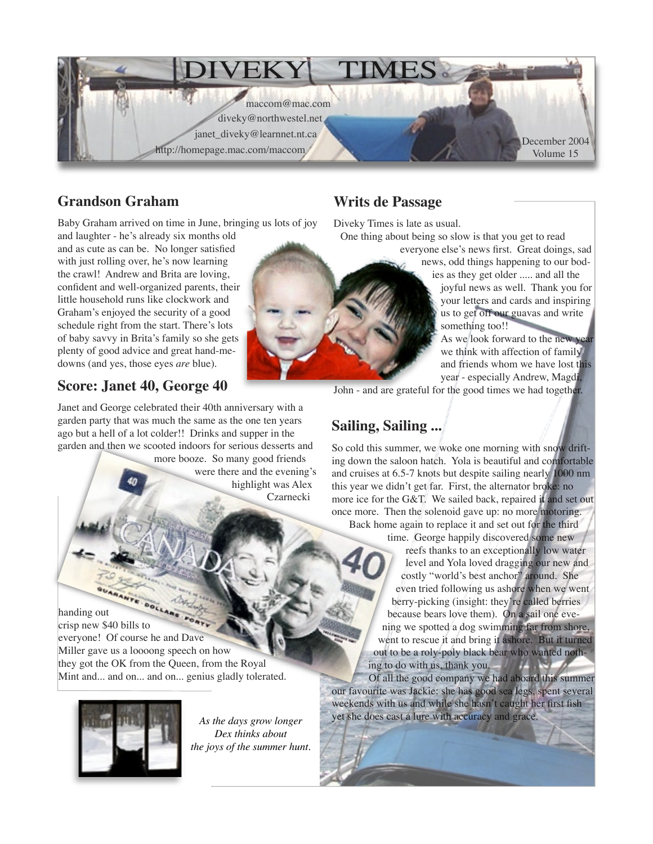

### **Grandson Graham**

Baby Graham arrived on time in June, bringing us lots of joy

and laughter - he's already six months old and as cute as can be. No longer satisfied with just rolling over, he's now learning the crawl! Andrew and Brita are loving, confident and well-organized parents, their little household runs like clockwork and Graham's enjoyed the security of a good schedule right from the start. There's lots of baby savvy in Brita's family so she gets plenty of good advice and great hand-medowns (and yes, those eyes *are* blue).

# **Score: Janet 40, George 40**

Janet and George celebrated their 40th anniversary with a garden party that was much the same as the one ten years ago but a hell of a lot colder!! Drinks and supper in the garden and then we scooted indoors for serious desserts and

more booze. So many good friends were there and the evening's highlight was Alex Czarnecki

### **Writs de Passage**

Diveky Times is late as usual.

One thing about being so slow is that you get to read

everyone else's news first. Great doings, sad news, odd things happening to our bod-

ies as they get older ..... and all the

joyful news as well. Thank you for your letters and cards and inspiring us to get off our guavas and write something too!!

As we look forward to the new year we think with affection of family and friends whom we have lost this year - especially Andrew, Magdi,

John - and are grateful for the good times we had together.

## **Sailing, Sailing ...**

So cold this summer, we woke one morning with snow drifting down the saloon hatch. Yola is beautiful and comfortable and cruises at 6.5-7 knots but despite sailing nearly 1000 nm this year we didn't get far. First, the alternator broke: no more ice for the G&T. We sailed back, repaired it and set out once more. Then the solenoid gave up: no more motoring.

Back home again to replace it and set out for the third

time. George happily discovered some new reefs thanks to an exceptionally low water level and Yola loved dragging our new and costly "world's best anchor" around. She even tried following us ashore when we went berry-picking (insight: they're called berries because bears love them). On a sail one evening we spotted a dog swimming far from shore, went to rescue it and bring it ashore. But it turned out to be a roly-poly black bear who wanted nothing to do with us, thank you.

 Of all the good company we had aboard this summer our favourite was Jackie: she has good sea legs, spent several weekends with us and while she hasn't caught her first fish yet she does cast a lure with accuracy and grace.

**BUANANTE BOLLANE** crisp new \$40 bills to everyone! Of course he and Dave Miller gave us a loooong speech on how they got the OK from the Queen, from the Royal Mint and... and on... and on... genius gladly tolerated.



*As the days grow longer Dex thinks about the joys of the summer hunt.*